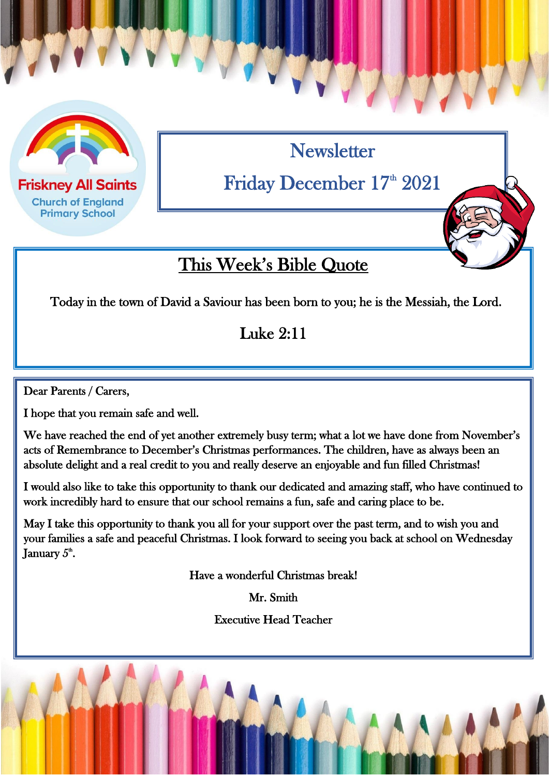

**Friskney All Saints Church of England Primary School** 

**Newsletter** 

Friday December 17<sup>th</sup> 2021

## This Week's Bible Quote

Today in the town of David a Saviour has been born to you; he is the Messiah, the Lord.

#### Luke 2:11

 $\overline{a}$ 

Dear Parents / Carers,

I hope that you remain safe and well.

We have reached the end of yet another extremely busy term; what a lot we have done from November's acts of Remembrance to December's Christmas performances. The children, have as always been an absolute delight and a real credit to you and really deserve an enjoyable and fun filled Christmas!

I would also like to take this opportunity to thank our dedicated and amazing staff, who have continued to work incredibly hard to ensure that our school remains a fun, safe and caring place to be.

May I take this opportunity to thank you all for your support over the past term, and to wish you and your families a safe and peaceful Christmas. I look forward to seeing you back at school on Wednesday January  $5^{\text{\tiny th}}$ .

Have a wonderful Christmas break!

Mr. Smith

Executive Head Teacher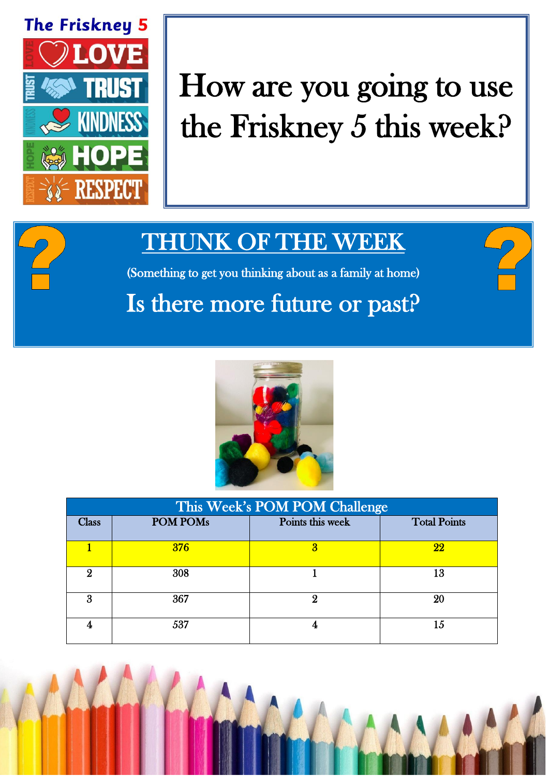

# How are you going to use the Friskney 5 this week?

## THUNK OF THE WEEK

(Something to get you thinking about as a family at home)

# Is there more future or past?



| This Week's POM POM Challenge |            |                  |                     |  |
|-------------------------------|------------|------------------|---------------------|--|
| <b>Class</b>                  | POM POMs   | Points this week | <b>Total Points</b> |  |
|                               | <b>376</b> |                  | 22                  |  |
| 9                             | 308        |                  | 13                  |  |
| я                             | 367        | 9                | 20                  |  |
|                               | 537        |                  | 15                  |  |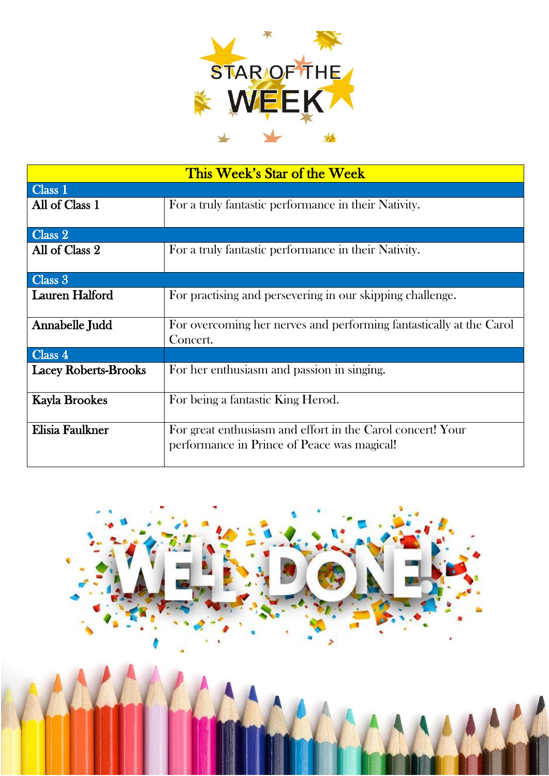

| This Week's Star of the Week |                                                                                                           |  |  |  |
|------------------------------|-----------------------------------------------------------------------------------------------------------|--|--|--|
| Class 1                      |                                                                                                           |  |  |  |
| All of Class 1               | For a truly fantastic performance in their Nativity.                                                      |  |  |  |
| Class 2                      |                                                                                                           |  |  |  |
| All of Class 2               | For a truly fantastic performance in their Nativity.                                                      |  |  |  |
| Class 3                      |                                                                                                           |  |  |  |
| <b>Lauren Halford</b>        | For practising and persevering in our skipping challenge.                                                 |  |  |  |
| Annabelle Judd               | For overcoming her nerves and performing fantastically at the Carol<br>Concert.                           |  |  |  |
| Class 4                      |                                                                                                           |  |  |  |
| <b>Lacey Roberts-Brooks</b>  | For her enthusiasm and passion in singing.                                                                |  |  |  |
| <b>Kayla Brookes</b>         | For being a fantastic King Herod.                                                                         |  |  |  |
| Elisia Faulkner              | For great enthusiasm and effort in the Carol concert! Your<br>performance in Prince of Peace was magical! |  |  |  |

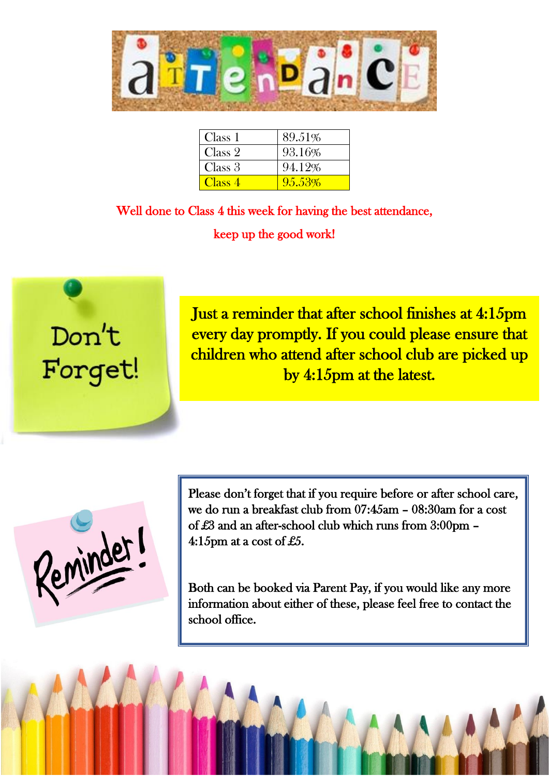

| Class 1            | 89.51% |
|--------------------|--------|
| Class 2            | 93.16% |
| Class 3            | 94.12% |
| Class <sub>4</sub> | 95.53% |

Well done to Class 4 this week for having the best attendance, keep up the good work!



Just a reminder that after school finishes at 4:15pm every day promptly. If you could please ensure that children who attend after school club are picked up by 4:15pm at the latest.

Reminder!

Please don't forget that if you require before or after school care, we do run a breakfast club from 07:45am – 08:30am for a cost of £3 and an after-school club which runs from 3:00pm – 4:15pm at a cost of £5.

Both can be booked via Parent Pay, if you would like any more information about either of these, please feel free to contact the school office.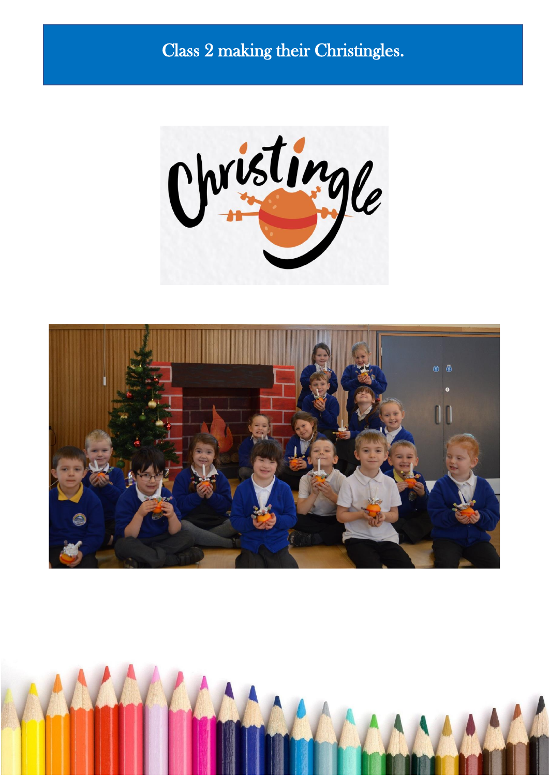### Class 2 making their Christingles.